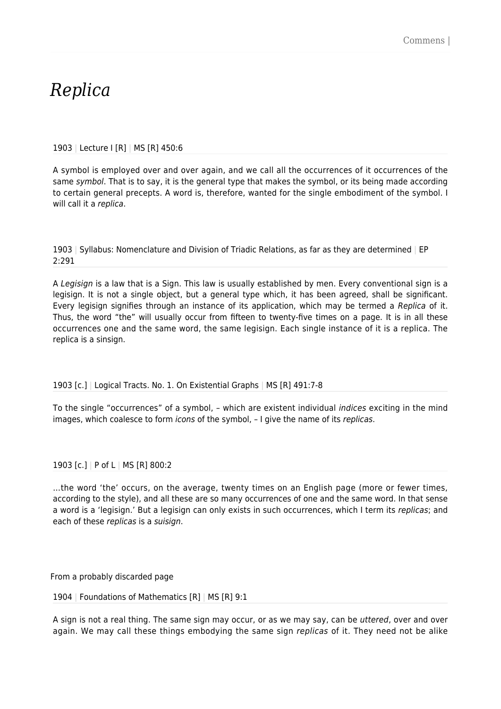# *Replica*

## 1903 | Lecture I [R] | MS [R] 450:6

A symbol is employed over and over again, and we call all the occurrences of it occurrences of the same *symbol*. That is to say, it is the general type that makes the symbol, or its being made according to certain general precepts. A word is, therefore, wanted for the single embodiment of the symbol. I will call it a replica.

1903 | Syllabus: Nomenclature and Division of Triadic Relations, as far as they are determined | EP 2:291

A Legisign is a law that is a Sign. This law is usually established by men. Every conventional sign is a legisign. It is not a single object, but a general type which, it has been agreed, shall be significant. Every legisign signifies through an instance of its application, which may be termed a Replica of it. Thus, the word "the" will usually occur from fifteen to twenty-five times on a page. It is in all these occurrences one and the same word, the same legisign. Each single instance of it is a replica. The replica is a sinsign.

## 1903 [c.] | Logical Tracts. No. 1. On Existential Graphs | MS [R] 491:7-8

To the single "occurrences" of a symbol, – which are existent individual indices exciting in the mind images, which coalesce to form *icons* of the symbol,  $-1$  give the name of its *replicas*.

## 1903 [c.] | P of L | MS [R] 800:2

…the word 'the' occurs, on the average, twenty times on an English page (more or fewer times, according to the style), and all these are so many occurrences of one and the same word. In that sense a word is a 'legisign.' But a legisign can only exists in such occurrences, which I term its replicas; and each of these replicas is a suisign.

From a probably discarded page

1904 | Foundations of Mathematics [R] | MS [R] 9:1

A sign is not a real thing. The same sign may occur, or as we may say, can be uttered, over and over again. We may call these things embodying the same sign *replicas* of it. They need not be alike